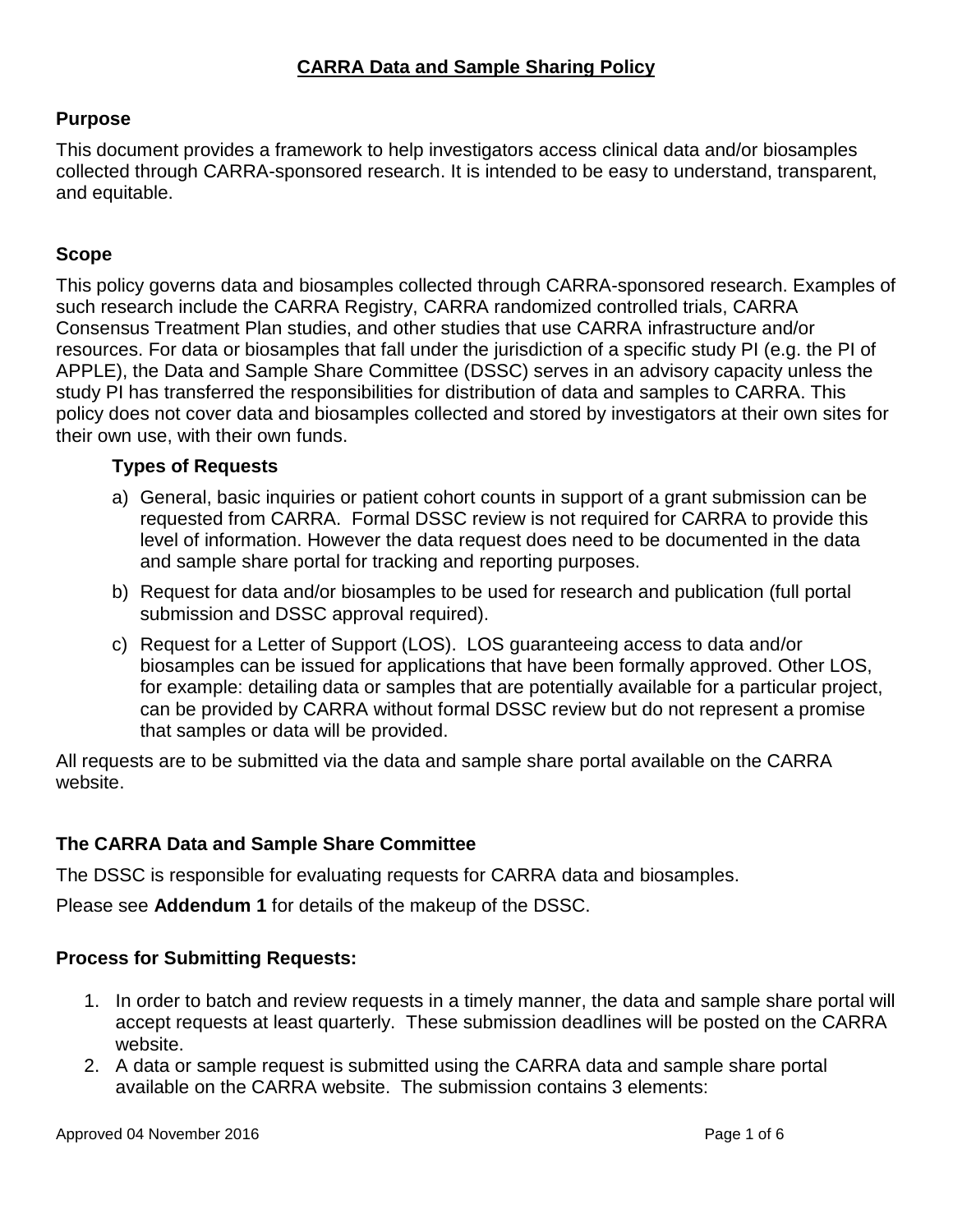# **Purpose**

This document provides a framework to help investigators access clinical data and/or biosamples collected through CARRA-sponsored research. It is intended to be easy to understand, transparent, and equitable.

## **Scope**

This policy governs data and biosamples collected through CARRA-sponsored research. Examples of such research include the CARRA Registry, CARRA randomized controlled trials, CARRA Consensus Treatment Plan studies, and other studies that use CARRA infrastructure and/or resources. For data or biosamples that fall under the jurisdiction of a specific study PI (e.g. the PI of APPLE), the Data and Sample Share Committee (DSSC) serves in an advisory capacity unless the study PI has transferred the responsibilities for distribution of data and samples to CARRA. This policy does not cover data and biosamples collected and stored by investigators at their own sites for their own use, with their own funds.

## **Types of Requests**

- a) General, basic inquiries or patient cohort counts in support of a grant submission can be requested from CARRA. Formal DSSC review is not required for CARRA to provide this level of information. However the data request does need to be documented in the data and sample share portal for tracking and reporting purposes.
- b) Request for data and/or biosamples to be used for research and publication (full portal submission and DSSC approval required).
- c) Request for a Letter of Support (LOS). LOS guaranteeing access to data and/or biosamples can be issued for applications that have been formally approved. Other LOS, for example: detailing data or samples that are potentially available for a particular project, can be provided by CARRA without formal DSSC review but do not represent a promise that samples or data will be provided.

All requests are to be submitted via the data and sample share portal available on the CARRA website.

## **The CARRA Data and Sample Share Committee**

The DSSC is responsible for evaluating requests for CARRA data and biosamples.

Please see **Addendum 1** for details of the makeup of the DSSC.

## **Process for Submitting Requests:**

- 1. In order to batch and review requests in a timely manner, the data and sample share portal will accept requests at least quarterly. These submission deadlines will be posted on the CARRA website.
- 2. A data or sample request is submitted using the CARRA data and sample share portal available on the CARRA website. The submission contains 3 elements: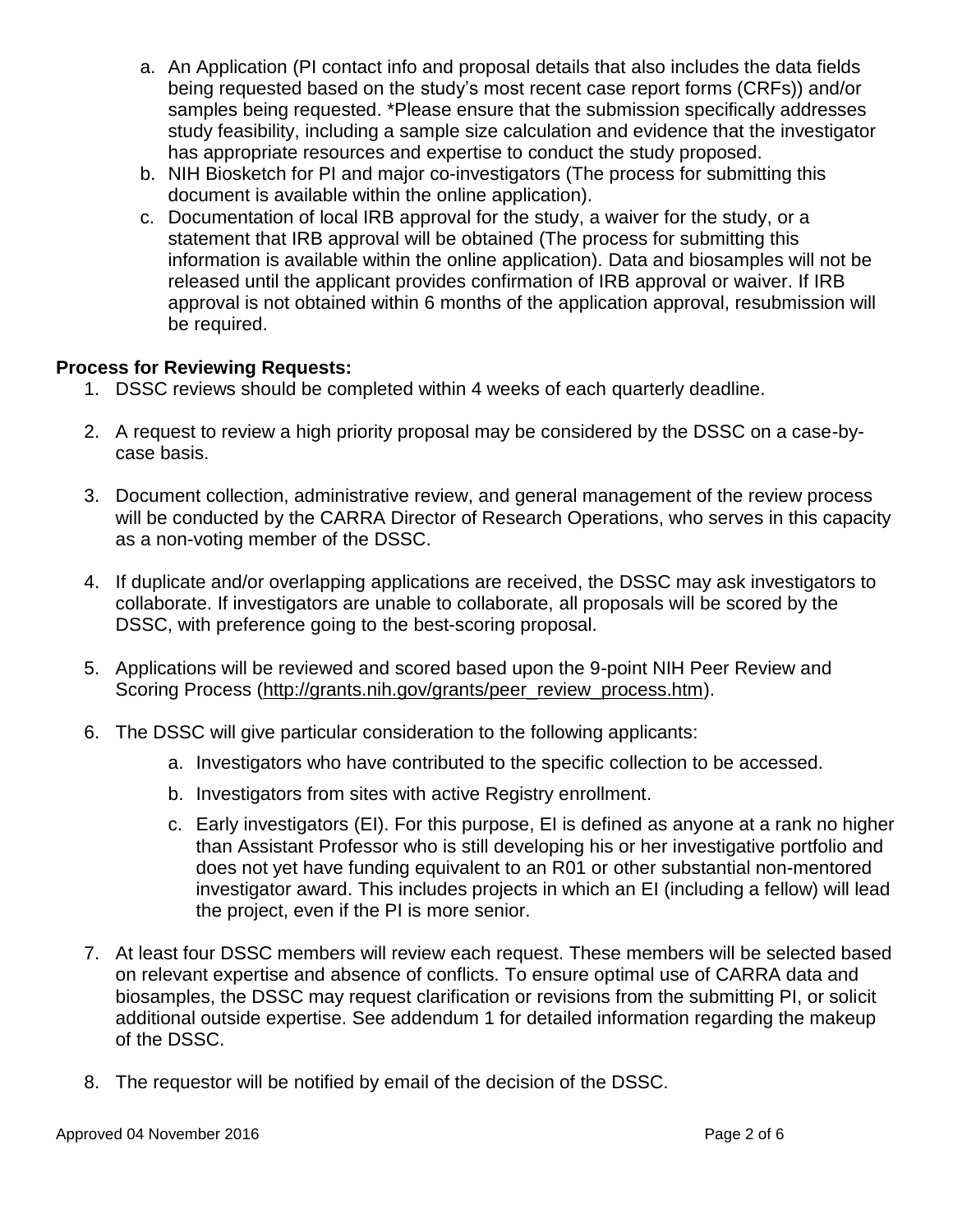- a. An Application (PI contact info and proposal details that also includes the data fields being requested based on the study's most recent case report forms (CRFs)) and/or samples being requested. \*Please ensure that the submission specifically addresses study feasibility, including a sample size calculation and evidence that the investigator has appropriate resources and expertise to conduct the study proposed.
- b. NIH Biosketch for PI and major co-investigators (The process for submitting this document is available within the online application).
- c. Documentation of local IRB approval for the study, a waiver for the study, or a statement that IRB approval will be obtained (The process for submitting this information is available within the online application). Data and biosamples will not be released until the applicant provides confirmation of IRB approval or waiver. If IRB approval is not obtained within 6 months of the application approval, resubmission will be required.

#### **Process for Reviewing Requests:**

- 1. DSSC reviews should be completed within 4 weeks of each quarterly deadline.
- 2. A request to review a high priority proposal may be considered by the DSSC on a case-bycase basis.
- 3. Document collection, administrative review, and general management of the review process will be conducted by the CARRA Director of Research Operations, who serves in this capacity as a non-voting member of the DSSC.
- 4. If duplicate and/or overlapping applications are received, the DSSC may ask investigators to collaborate. If investigators are unable to collaborate, all proposals will be scored by the DSSC, with preference going to the best-scoring proposal.
- 5. Applications will be reviewed and scored based upon the 9-point NIH Peer Review and Scoring Process [\(http://grants.nih.gov/grants/peer\\_review\\_process.htm\)](http://grants.nih.gov/grants/peer_review_process.htm).
- 6. The DSSC will give particular consideration to the following applicants:
	- a. Investigators who have contributed to the specific collection to be accessed.
	- b. Investigators from sites with active Registry enrollment.
	- c. Early investigators (EI). For this purpose, EI is defined as anyone at a rank no higher than Assistant Professor who is still developing his or her investigative portfolio and does not yet have funding equivalent to an R01 or other substantial non-mentored investigator award. This includes projects in which an EI (including a fellow) will lead the project, even if the PI is more senior.
- 7. At least four DSSC members will review each request. These members will be selected based on relevant expertise and absence of conflicts. To ensure optimal use of CARRA data and biosamples, the DSSC may request clarification or revisions from the submitting PI, or solicit additional outside expertise. See addendum 1 for detailed information regarding the makeup of the DSSC.
- 8. The requestor will be notified by email of the decision of the DSSC.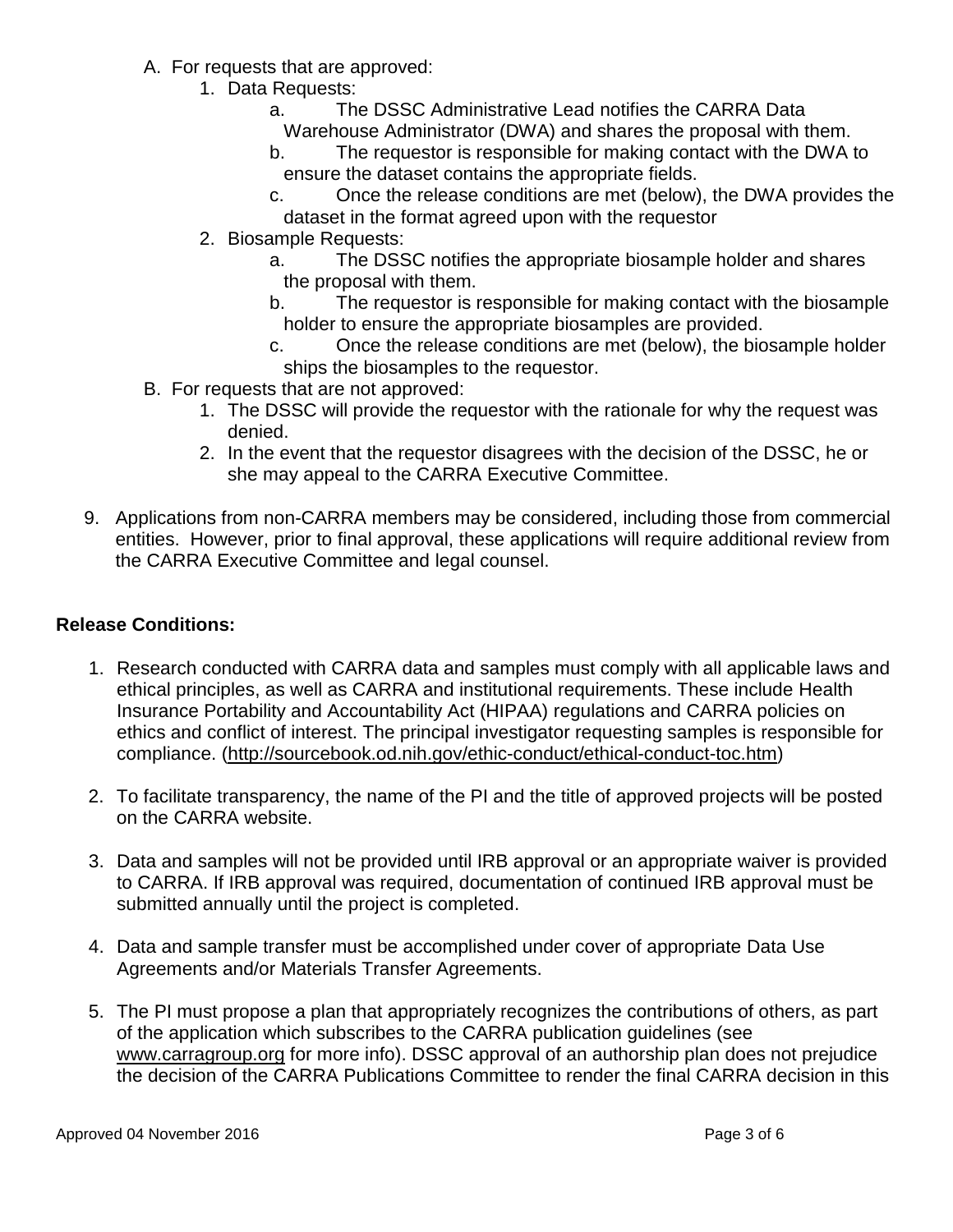- A. For requests that are approved:
	- 1. Data Requests:
		- a. The DSSC Administrative Lead notifies the CARRA Data Warehouse Administrator (DWA) and shares the proposal with them.
		- b. The requestor is responsible for making contact with the DWA to ensure the dataset contains the appropriate fields.
		- c. Once the release conditions are met (below), the DWA provides the dataset in the format agreed upon with the requestor
	- 2. Biosample Requests:
		- a. The DSSC notifies the appropriate biosample holder and shares the proposal with them.
		- b. The requestor is responsible for making contact with the biosample holder to ensure the appropriate biosamples are provided.
		- c. Once the release conditions are met (below), the biosample holder ships the biosamples to the requestor.
- B. For requests that are not approved:
	- 1. The DSSC will provide the requestor with the rationale for why the request was denied.
	- 2. In the event that the requestor disagrees with the decision of the DSSC, he or she may appeal to the CARRA Executive Committee.
- 9. Applications from non-CARRA members may be considered, including those from commercial entities. However, prior to final approval, these applications will require additional review from the CARRA Executive Committee and legal counsel.

#### **Release Conditions:**

- 1. Research conducted with CARRA data and samples must comply with all applicable laws and ethical principles, as well as CARRA and institutional requirements. These include Health Insurance Portability and Accountability Act (HIPAA) regulations and CARRA policies on ethics and conflict of interest. The principal investigator requesting samples is responsible for compliance. [\(http://sourcebook.od.nih.gov/ethic-conduct/ethical-conduct-toc.htm\)](http://sourcebook.od.nih.gov/ethic-conduct/ethical-conduct-toc.htm)
- 2. To facilitate transparency, the name of the PI and the title of approved projects will be posted on the CARRA website.
- 3. Data and samples will not be provided until IRB approval or an appropriate waiver is provided to CARRA. If IRB approval was required, documentation of continued IRB approval must be submitted annually until the project is completed.
- 4. Data and sample transfer must be accomplished under cover of appropriate Data Use Agreements and/or Materials Transfer Agreements.
- 5. The PI must propose a plan that appropriately recognizes the contributions of others, as part of the application which subscribes to the CARRA publication guidelines (see [www.carragroup.org](http://www.carragroup.org/) for more info). DSSC approval of an authorship plan does not prejudice the decision of the CARRA Publications Committee to render the final CARRA decision in this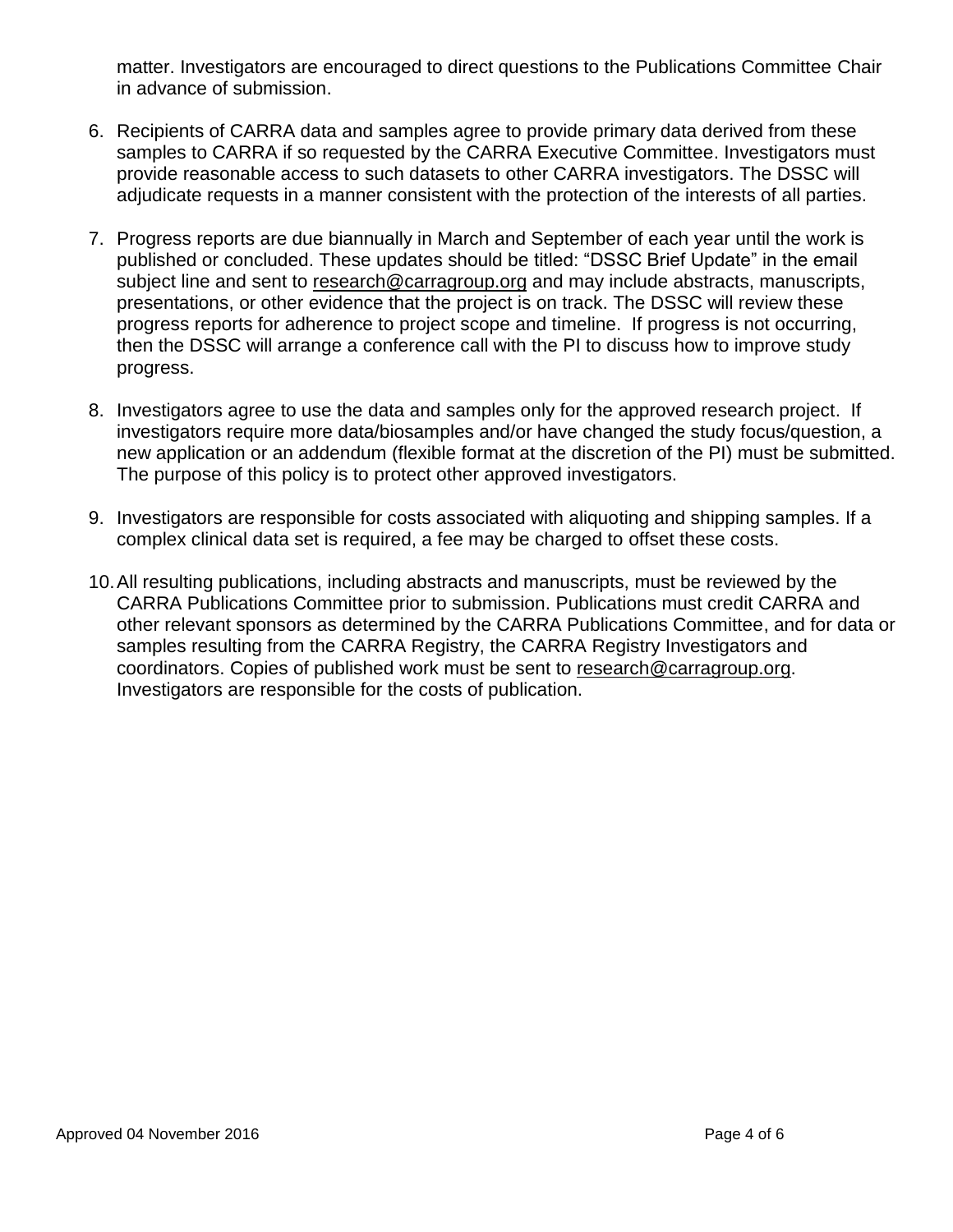matter. Investigators are encouraged to direct questions to the Publications Committee Chair in advance of submission.

- 6. Recipients of CARRA data and samples agree to provide primary data derived from these samples to CARRA if so requested by the CARRA Executive Committee. Investigators must provide reasonable access to such datasets to other CARRA investigators. The DSSC will adjudicate requests in a manner consistent with the protection of the interests of all parties.
- 7. Progress reports are due biannually in March and September of each year until the work is published or concluded. These updates should be titled: "DSSC Brief Update" in the email subject line and sent to [research@carragroup.org](mailto:research@carragroup.org) and may include abstracts, manuscripts, presentations, or other evidence that the project is on track. The DSSC will review these progress reports for adherence to project scope and timeline. If progress is not occurring, then the DSSC will arrange a conference call with the PI to discuss how to improve study progress.
- 8. Investigators agree to use the data and samples only for the approved research project. If investigators require more data/biosamples and/or have changed the study focus/question, a new application or an addendum (flexible format at the discretion of the PI) must be submitted. The purpose of this policy is to protect other approved investigators.
- 9. Investigators are responsible for costs associated with aliquoting and shipping samples. If a complex clinical data set is required, a fee may be charged to offset these costs.
- 10.All resulting publications, including abstracts and manuscripts, must be reviewed by the CARRA Publications Committee prior to submission. Publications must credit CARRA and other relevant sponsors as determined by the CARRA Publications Committee, and for data or samples resulting from the CARRA Registry, the CARRA Registry Investigators and coordinators. Copies of published work must be sent to [research@carragroup.org.](mailto:research@carragroup.org) Investigators are responsible for the costs of publication.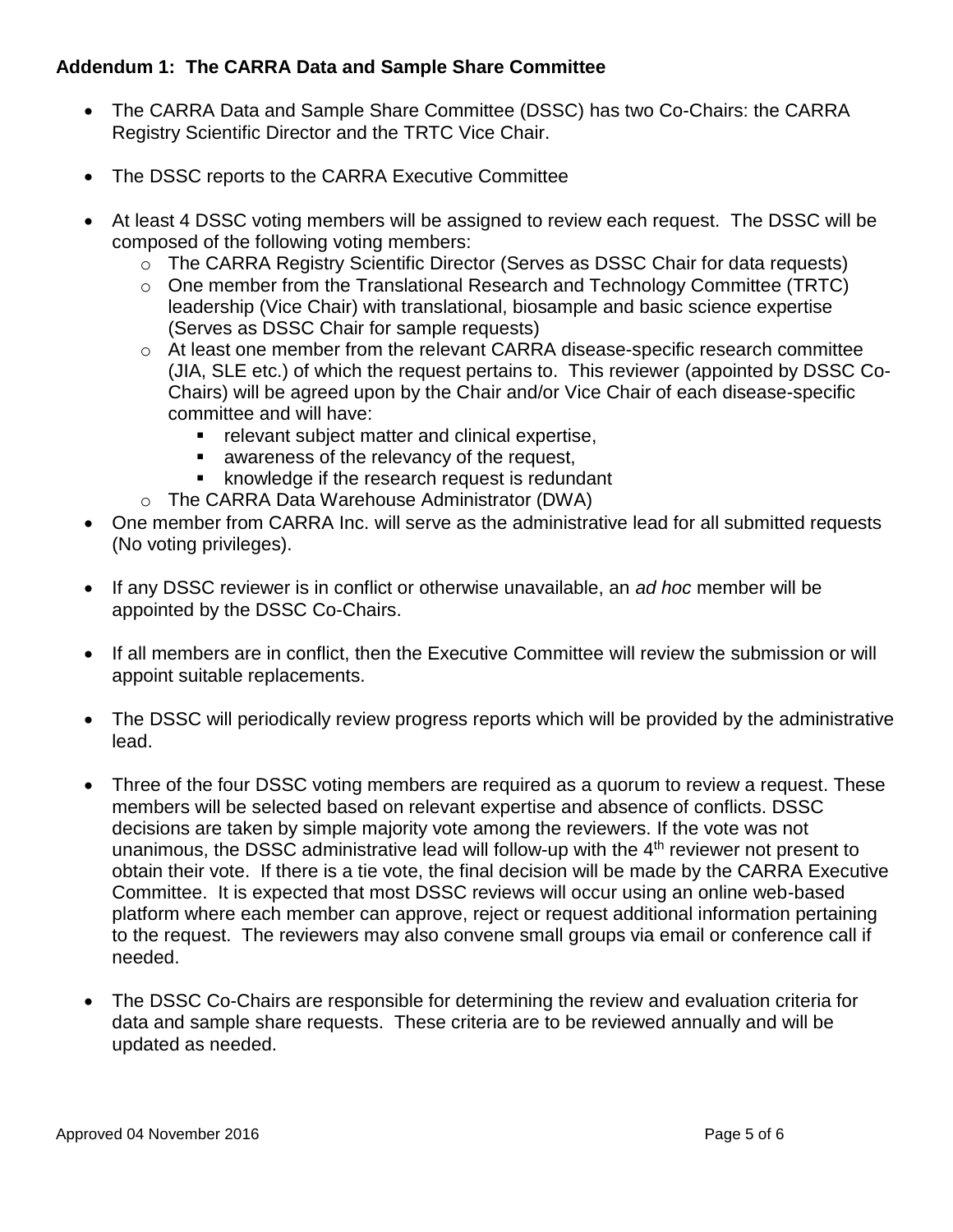## **Addendum 1: The CARRA Data and Sample Share Committee**

- The CARRA Data and Sample Share Committee (DSSC) has two Co-Chairs: the CARRA Registry Scientific Director and the TRTC Vice Chair.
- The DSSC reports to the CARRA Executive Committee
- At least 4 DSSC voting members will be assigned to review each request. The DSSC will be composed of the following voting members:
	- $\circ$  The CARRA Registry Scientific Director (Serves as DSSC Chair for data requests)
	- o One member from the Translational Research and Technology Committee (TRTC) leadership (Vice Chair) with translational, biosample and basic science expertise (Serves as DSSC Chair for sample requests)
	- $\circ$  At least one member from the relevant CARRA disease-specific research committee (JIA, SLE etc.) of which the request pertains to. This reviewer (appointed by DSSC Co-Chairs) will be agreed upon by the Chair and/or Vice Chair of each disease-specific committee and will have:
		- **F** relevant subject matter and clinical expertise,
		- awareness of the relevancy of the request,
		- **EXE** knowledge if the research request is redundant
	- o The CARRA Data Warehouse Administrator (DWA)
- One member from CARRA Inc. will serve as the administrative lead for all submitted requests (No voting privileges).
- If any DSSC reviewer is in conflict or otherwise unavailable, an *ad hoc* member will be appointed by the DSSC Co-Chairs.
- If all members are in conflict, then the Executive Committee will review the submission or will appoint suitable replacements.
- The DSSC will periodically review progress reports which will be provided by the administrative lead.
- Three of the four DSSC voting members are required as a quorum to review a request. These members will be selected based on relevant expertise and absence of conflicts. DSSC decisions are taken by simple majority vote among the reviewers. If the vote was not unanimous, the DSSC administrative lead will follow-up with the 4th reviewer not present to obtain their vote. If there is a tie vote, the final decision will be made by the CARRA Executive Committee. It is expected that most DSSC reviews will occur using an online web-based platform where each member can approve, reject or request additional information pertaining to the request. The reviewers may also convene small groups via email or conference call if needed.
- The DSSC Co-Chairs are responsible for determining the review and evaluation criteria for data and sample share requests. These criteria are to be reviewed annually and will be updated as needed.